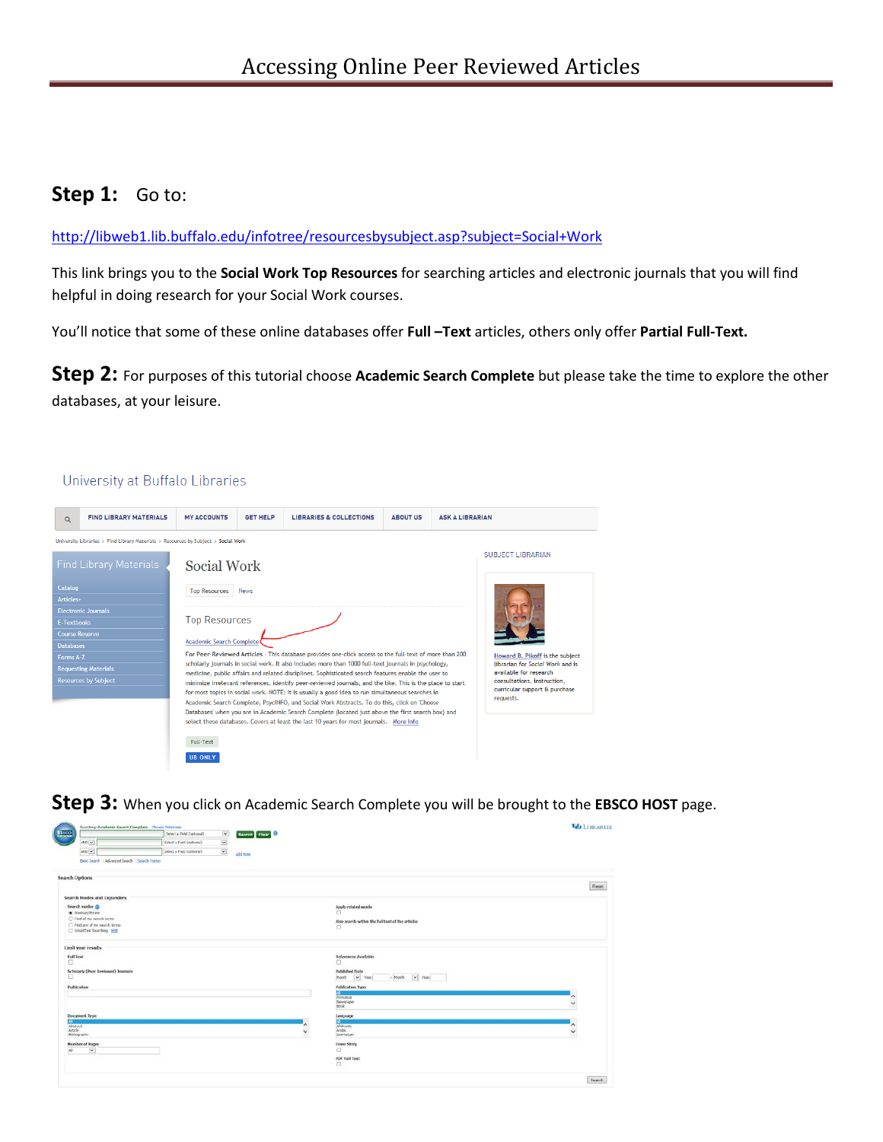## **Step 1:** Go to:

<http://libweb1.lib.buffalo.edu/infotree/resourcesbysubject.asp?subject=Social+Work>

This link brings you to the **Social Work Top Resources** for searching articles and electronic journals that you will find helpful in doing research for your Social Work courses.

You'll notice that some of these online databases offer **Full –Text** articles, others only offer **Partial Full-Text.**

**Step 2:** For purposes of this tutorial choose **Academic Search Complete** but please take the time to explore the other databases, at your leisure.

## University at Buffalo Libraries

| $\alpha$                           | <b>FIND LIBRARY MATERIALS</b>                                                                                                                                                                                                                                                              | <b>MY ACCOUNTS</b>                                                                                                                                                                                                                                                                                                                                                                                                                                                                                                                                                                                                             | <b>GET HELP</b> | <b>LIBRARIES &amp; COLLECTIONS</b> | <b>ABOUT US</b> | <b>ASK A LIBRARIAN</b> |                                                                     |
|------------------------------------|--------------------------------------------------------------------------------------------------------------------------------------------------------------------------------------------------------------------------------------------------------------------------------------------|--------------------------------------------------------------------------------------------------------------------------------------------------------------------------------------------------------------------------------------------------------------------------------------------------------------------------------------------------------------------------------------------------------------------------------------------------------------------------------------------------------------------------------------------------------------------------------------------------------------------------------|-----------------|------------------------------------|-----------------|------------------------|---------------------------------------------------------------------|
|                                    | University Libraries > Find Library Materials > Resources by Subject > Social Work                                                                                                                                                                                                         |                                                                                                                                                                                                                                                                                                                                                                                                                                                                                                                                                                                                                                |                 |                                    |                 |                        |                                                                     |
|                                    | <b>Find Library Materials</b>                                                                                                                                                                                                                                                              | Social Work                                                                                                                                                                                                                                                                                                                                                                                                                                                                                                                                                                                                                    |                 |                                    |                 |                        | SUBJECT LIBRARIAN                                                   |
| Catalog<br>Articles+               |                                                                                                                                                                                                                                                                                            | <b>Top Resources</b>                                                                                                                                                                                                                                                                                                                                                                                                                                                                                                                                                                                                           | <b>News</b>     |                                    |                 |                        |                                                                     |
| <b>E-Textbooks</b>                 | <b>Electronic Journals</b>                                                                                                                                                                                                                                                                 | <b>Top Resources</b><br>Academic Search Complete                                                                                                                                                                                                                                                                                                                                                                                                                                                                                                                                                                               |                 |                                    |                 |                        |                                                                     |
| Course Reserve<br><b>Databases</b> |                                                                                                                                                                                                                                                                                            |                                                                                                                                                                                                                                                                                                                                                                                                                                                                                                                                                                                                                                |                 |                                    |                 |                        |                                                                     |
| Forms A-Z                          | <b>Requesting Materials</b>                                                                                                                                                                                                                                                                | For Peer-Reviewed Articles - This database provides one-click access to the full-text of more than 200<br>scholarly journals in social work. It also includes more than 1000 full-text journals in psychology,<br>available for research<br>medicine, public affairs and related disciplines. Sophisticated search features enable the user to<br>consultations, instruction,<br>minimize irrelevant references, identify peer-reviewed journals, and the like. This is the place to start<br>curricular support & purchase<br>for most topics in social work. NOTE: It is usually a good idea to run simultaneous searches in |                 |                                    |                 |                        | Howard B. Pikoff is the subject<br>librarian for Social Work and is |
|                                    | <b>Resources by Subject</b>                                                                                                                                                                                                                                                                |                                                                                                                                                                                                                                                                                                                                                                                                                                                                                                                                                                                                                                |                 |                                    |                 |                        |                                                                     |
|                                    | Academic Search Complete, PsycINFO, and Social Work Abstracts. To do this, click on 'Choose<br>Databases' when you are in Academic Search Complete (located just above the first search box) and<br>select these databases. Covers at least the last 10 years for most journals. More Info |                                                                                                                                                                                                                                                                                                                                                                                                                                                                                                                                                                                                                                |                 |                                    |                 | requests.              |                                                                     |
|                                    |                                                                                                                                                                                                                                                                                            | Full-Text                                                                                                                                                                                                                                                                                                                                                                                                                                                                                                                                                                                                                      |                 |                                    |                 |                        |                                                                     |
|                                    |                                                                                                                                                                                                                                                                                            | <b>UB ONLY</b>                                                                                                                                                                                                                                                                                                                                                                                                                                                                                                                                                                                                                 |                 |                                    |                 |                        |                                                                     |

**Step 3:** When you click on Academic Search Complete you will be brought to the **EBSCO HOST** page.

| Searching: Academic Search Complete   Choose Databoose     |                           |                          |                                                          | <b>LELIBRARIES</b> |
|------------------------------------------------------------|---------------------------|--------------------------|----------------------------------------------------------|--------------------|
| $1800$                                                     | Select a Field (optorul)  | $\overline{\phantom{a}}$ | Search Clear                                             |                    |
| $1300 \times$                                              | Salect a Field (optional) | $\frac{1}{2}$            |                                                          |                    |
| $BC$ $v$                                                   | Select a Field (optional) |                          | Add Row                                                  |                    |
| Basic Search   Advanced Search   Search History            |                           |                          |                                                          |                    |
| <b>Search Options</b>                                      |                           |                          |                                                          |                    |
| Search Modes and Expanders                                 |                           |                          |                                                          | Fieset             |
| Search modes @                                             |                           |                          | Apply related words                                      |                    |
| C Rocksco Phrase                                           |                           |                          | n                                                        |                    |
| C Find all my search terms<br>C Fed are of my search terms |                           |                          | Also search within the full text of the articles         |                    |
| Straffed Southing 1915                                     |                           |                          | □                                                        |                    |
| Limit your results                                         |                           |                          |                                                          |                    |
| Full Toxt<br>$\Box$                                        |                           |                          | References Available<br>o                                |                    |
| Scholarly (Pear Reviewed) Internals<br>o                   |                           |                          | Published Date<br>- Month [w] Vear.<br>Month<br>wi Year. |                    |
| Publication                                                |                           |                          | Publication Type                                         |                    |
|                                                            |                           |                          | n.<br>Periodes                                           | ۸                  |
|                                                            |                           |                          | Newspaper<br><b>Book</b>                                 | v                  |
| Document Type                                              |                           |                          | Lascuage                                                 |                    |
| Abstract                                                   |                           |                          | <b>Alikaans</b>                                          |                    |
| Article.<br>Bibliography                                   |                           |                          | <b>Arabic</b><br>ü<br>Azerbaltani                        | v                  |
| Number of Pages                                            |                           |                          | Cover Story                                              |                    |
| AB.<br>$\sim$                                              |                           |                          | D                                                        |                    |
|                                                            |                           |                          | PDF Full Text<br>o                                       |                    |
|                                                            |                           |                          |                                                          | Search             |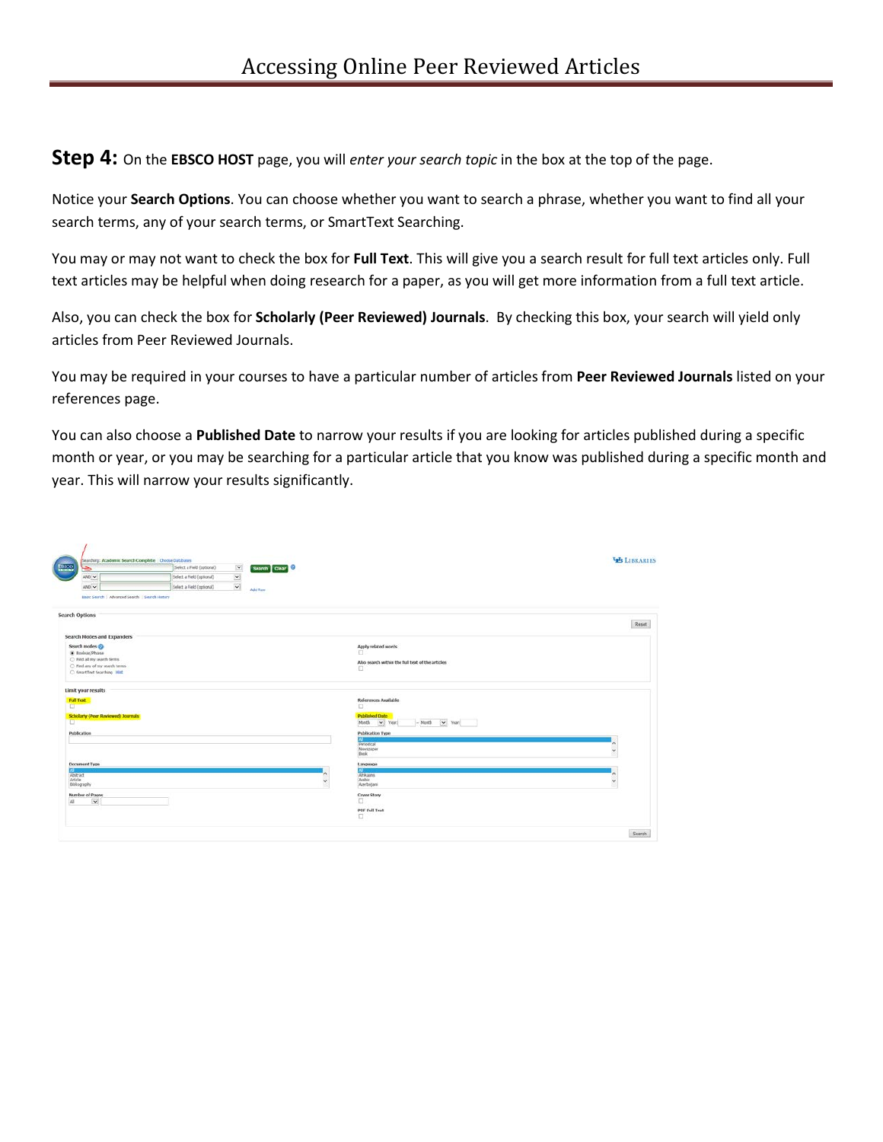**Step 4:** On the **EBSCO HOST** page, you will *enter your search topic* in the box at the top of the page.

Notice your **Search Options**. You can choose whether you want to search a phrase, whether you want to find all your search terms, any of your search terms, or SmartText Searching.

You may or may not want to check the box for **Full Text**. This will give you a search result for full text articles only. Full text articles may be helpful when doing research for a paper, as you will get more information from a full text article.

Also, you can check the box for **Scholarly (Peer Reviewed) Journals**. By checking this box, your search will yield only articles from Peer Reviewed Journals.

You may be required in your courses to have a particular number of articles from **Peer Reviewed Journals** listed on your references page.

You can also choose a **Published Date** to narrow your results if you are looking for articles published during a specific month or year, or you may be searching for a particular article that you know was published during a specific month and year. This will narrow your results significantly.

| $\underline{\mathsf{E} \mathsf{B}\mathsf{C}\mathsf{O}}$<br>ڪ | Searching: Academic Search Complete   Choose Databases<br>Select a Field (optional) | $\vert \mathbf{v} \vert$ | Search Clear                                          | <b>VE LIBRARIES</b> |
|--------------------------------------------------------------|-------------------------------------------------------------------------------------|--------------------------|-------------------------------------------------------|---------------------|
| $\mathsf{AND}[\mathbf{w}]$                                   | Select a Field (uptional)                                                           | $\overline{\phantom{a}}$ |                                                       |                     |
| MCD                                                          | Select a Field (optional)                                                           | $\dot{\mathbf{v}}$       | Add Row                                               |                     |
| Basic Search   Advanced Search   Search History              |                                                                                     |                          |                                                       |                     |
| <b>Search Options</b>                                        |                                                                                     |                          |                                                       | Reset               |
| Search Nodes and Expanders'                                  |                                                                                     |                          |                                                       |                     |
| Search modes @                                               |                                                                                     |                          | Apply related words<br>o                              |                     |
| C Bookin Phrase<br>C Find all my search terms.               |                                                                                     |                          |                                                       |                     |
| ○ Find any of my search terms                                |                                                                                     |                          | Also search within the full text of the articles<br>o |                     |
| C SmatTed Searching Hird                                     |                                                                                     |                          |                                                       |                     |
| Limit your results                                           |                                                                                     |                          |                                                       |                     |
| <b>Full Test</b><br>$\Box$                                   |                                                                                     |                          | References Available<br>□                             |                     |
| Scholarly (Peer Reviewed) Journals                           |                                                                                     |                          | <b>Published Date</b>                                 |                     |
| n.                                                           |                                                                                     |                          | $-Morth$ $\rightarrow$ Year:<br>v Year:<br>Month      |                     |
| <b>Publication</b>                                           |                                                                                     |                          | <b>Publication Type</b>                               |                     |
|                                                              |                                                                                     |                          | Periodical                                            | $\hat{\phantom{a}}$ |
|                                                              |                                                                                     |                          | Newspaper                                             | $\check{ }$         |
|                                                              |                                                                                     |                          | <b>Dook</b>                                           |                     |
| <b>Document Type</b>                                         |                                                                                     |                          | Language<br>m                                         |                     |
| 73<br>Abstract                                               |                                                                                     |                          | Afrikans                                              | $\lambda$           |
| Article<br>Biblography                                       |                                                                                     |                          | Arabic.<br>$\checkmark$<br>Acerbaisasi                | $\checkmark$        |
| <b>Number of Pages</b>                                       |                                                                                     |                          | Cover Story                                           |                     |
| $\mathbf{\overline{v}}$<br>All                               |                                                                                     |                          | α                                                     |                     |
|                                                              |                                                                                     |                          | PDF full Text                                         |                     |
|                                                              |                                                                                     |                          | α                                                     |                     |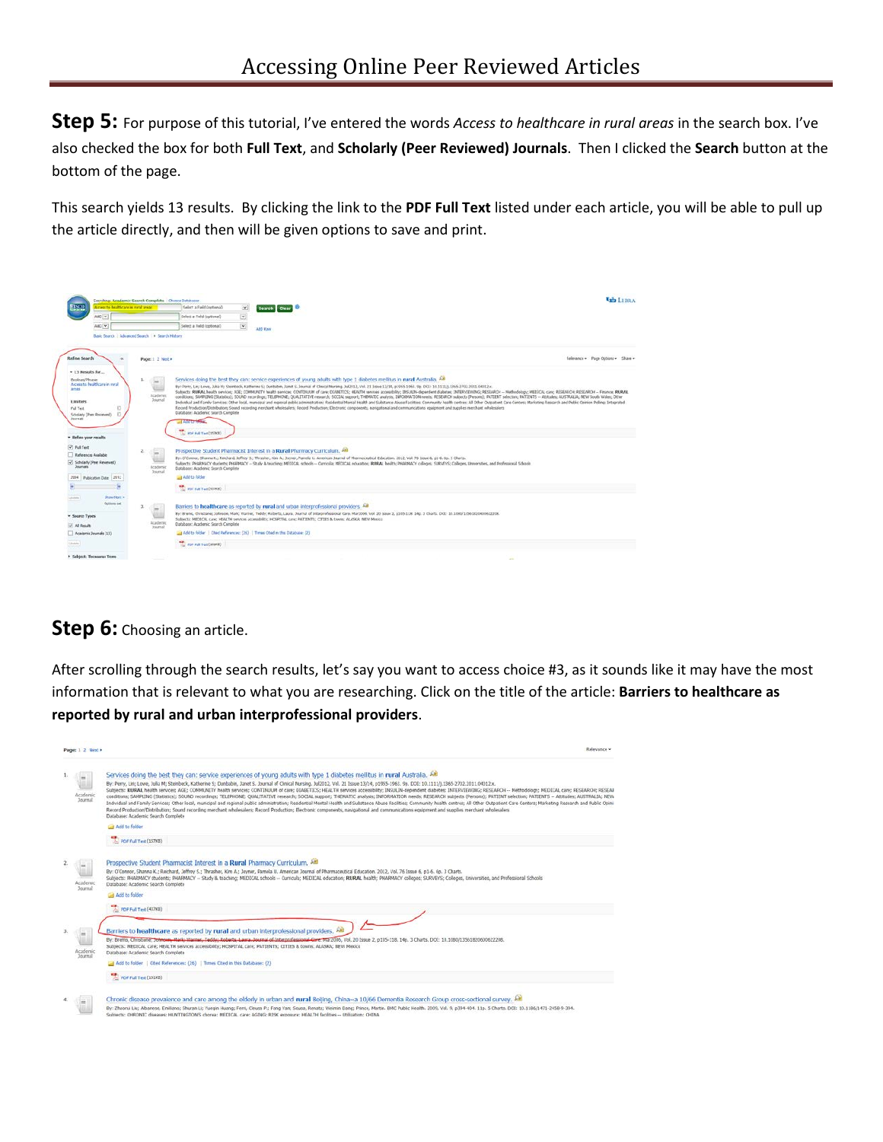**Step 5:** For purpose of this tutorial, I've entered the words *Access to healthcare in rural areas* in the search box. I've also checked the box for both **Full Text**, and **Scholarly (Peer Reviewed) Journals**. Then I clicked the **Search** button at the bottom of the page.

This search yields 13 results. By clicking the link to the **PDF Full Text** listed under each article, you will be able to pull up the article directly, and then will be given options to save and print.



## **Step 6:** Choosing an article.

After scrolling through the search results, let's say you want to access choice #3, as it sounds like it may have the most information that is relevant to what you are researching. Click on the title of the article: **Barriers to healthcare as reported by rural and urban interprofessional providers**.

| Page: 1 2 Next +           | Relevance -                                                                                                                                                                                                                                                                                                                                                                                                                                                                                                                                                                                                                                                                                                                                                                                                                                                                                                                                                                                                                                                                                                                                                                                                                                                                                |
|----------------------------|--------------------------------------------------------------------------------------------------------------------------------------------------------------------------------------------------------------------------------------------------------------------------------------------------------------------------------------------------------------------------------------------------------------------------------------------------------------------------------------------------------------------------------------------------------------------------------------------------------------------------------------------------------------------------------------------------------------------------------------------------------------------------------------------------------------------------------------------------------------------------------------------------------------------------------------------------------------------------------------------------------------------------------------------------------------------------------------------------------------------------------------------------------------------------------------------------------------------------------------------------------------------------------------------|
| Academi                    | Services doing the best they can: service experiences of young adults with type 1 diabetes mellitus in rural Australia. All<br>By: Perry, Lin; Lowe, Julia M; Steinbeck, Katherine S; Dunbabin, Janet S. Journal of Clinical Nursing. Jul2012, Vol. 21 Issue 13/14, p1955-1963. 9p. DOI: 10.1111/j.1365-2702.2011.04012.x.<br>Subjects: RURAL health services: AGE: COMMUNITY health services: CONTINUUM of care: DJABETICS: HEALTH services accessibility: INSULIN-dependent diabetes: INTERVIEWING: RESEARCH -- Methodology: MEDICAL care: RESEARCH: PESEA<br>conditions; SAMPLING (Statistics); SOUND recordings; TELEPHONE; QUALITATIVE research; SOCIAL support; THEMATIC analysis; INFORMATION needs; RESEARCH subjects (Persons); PATIENT selection; PATIENTS -- Attrudes; AUSTRALIA; N<br>Individual and Family Services: Other local, municipal and regional public administration: Residential Mental Health and Substance Abuse Facilities: Community health centres: All Other Outpatient Care Centers: Marketing Re<br>Record Production/Distribution; Sound recording merchant wholesalers: Record Production; Electronic components, navigational and communications equipment and supplies merchant wholesalers<br>Database: Academic Search Complete<br>and add to folder |
|                            | Por full Text (15798)                                                                                                                                                                                                                                                                                                                                                                                                                                                                                                                                                                                                                                                                                                                                                                                                                                                                                                                                                                                                                                                                                                                                                                                                                                                                      |
| Academi<br><b>Journal</b>  | Prospective Student Pharmacist Interest in a Rural Pharmacy Curriculum.<br>By: O'Connor, Shanna K.; Raichard, Jeffrey S.; Thrashar, Kim A.; Joyner, Pamela U. American Journal of Pharmaceutical Education, 2012, Vol. 76 Issue 6, p1-6, 6p. 3 Charts.<br>Subjects: PHARMACY students: PHARMACY -- Study & teaching; MEDICAL schools -- Curricula; MEDICAL education; RURAL health; PHARMACY colleges; SURVEYS; Colleges, Universities, and Professional Schools<br>Database: Academic Search Complete<br>Add to folder                                                                                                                                                                                                                                                                                                                                                                                                                                                                                                                                                                                                                                                                                                                                                                    |
|                            | TO POF Full Text (43783)                                                                                                                                                                                                                                                                                                                                                                                                                                                                                                                                                                                                                                                                                                                                                                                                                                                                                                                                                                                                                                                                                                                                                                                                                                                                   |
| Academic<br><b>Journal</b> | Barriers to healthcare as reported by rural and urban interprofessional providers. All<br>By: Brems, Chrisbane, Johnson, Mario Warner, Teddy: Roberts, Laura, Journal of Interprofessional Give 1972006, Vol. 20 Issue 2, p105-118, 14p. 3 Charts, DOI: 10.1080/13561820600622208.<br>Subjects: MEDICAL care; HEALTH services accessibility; HOSPITAL care; PATIENTS; CITIES & towns; ALASKA; NEW Mexico<br>Database: Academic Search Complete                                                                                                                                                                                                                                                                                                                                                                                                                                                                                                                                                                                                                                                                                                                                                                                                                                             |
|                            | Add to folder   Cited References: (26)   Times Cited in this Database: (2)                                                                                                                                                                                                                                                                                                                                                                                                                                                                                                                                                                                                                                                                                                                                                                                                                                                                                                                                                                                                                                                                                                                                                                                                                 |
|                            | POF Full Text (101KB)                                                                                                                                                                                                                                                                                                                                                                                                                                                                                                                                                                                                                                                                                                                                                                                                                                                                                                                                                                                                                                                                                                                                                                                                                                                                      |
|                            | Chronic disease prevalence and care among the elderly in urban and rural Belling, China--a 10/66 Dementia Research Group cross-sectional survey. All<br>By: Zhaonai Liu; Albanese, Emiliano; Shuran Li; Yuegin Huang; Ferri, Cleusa P.; Fang Yan; Sousa, Renata; Weimin Dang; Prince, Martin. BMC Public Health. 2009, Vol. 9, p394-404. 11p. 5 Charts. DOI: 10.1186/1471-2458-9-394.<br>Subjects: CHRONIC diseases: HUNTINGTON'S chorea: MEDICAL care: AGING: RISK exposure: HEALTH facilities -- Utilization: CHINA                                                                                                                                                                                                                                                                                                                                                                                                                                                                                                                                                                                                                                                                                                                                                                      |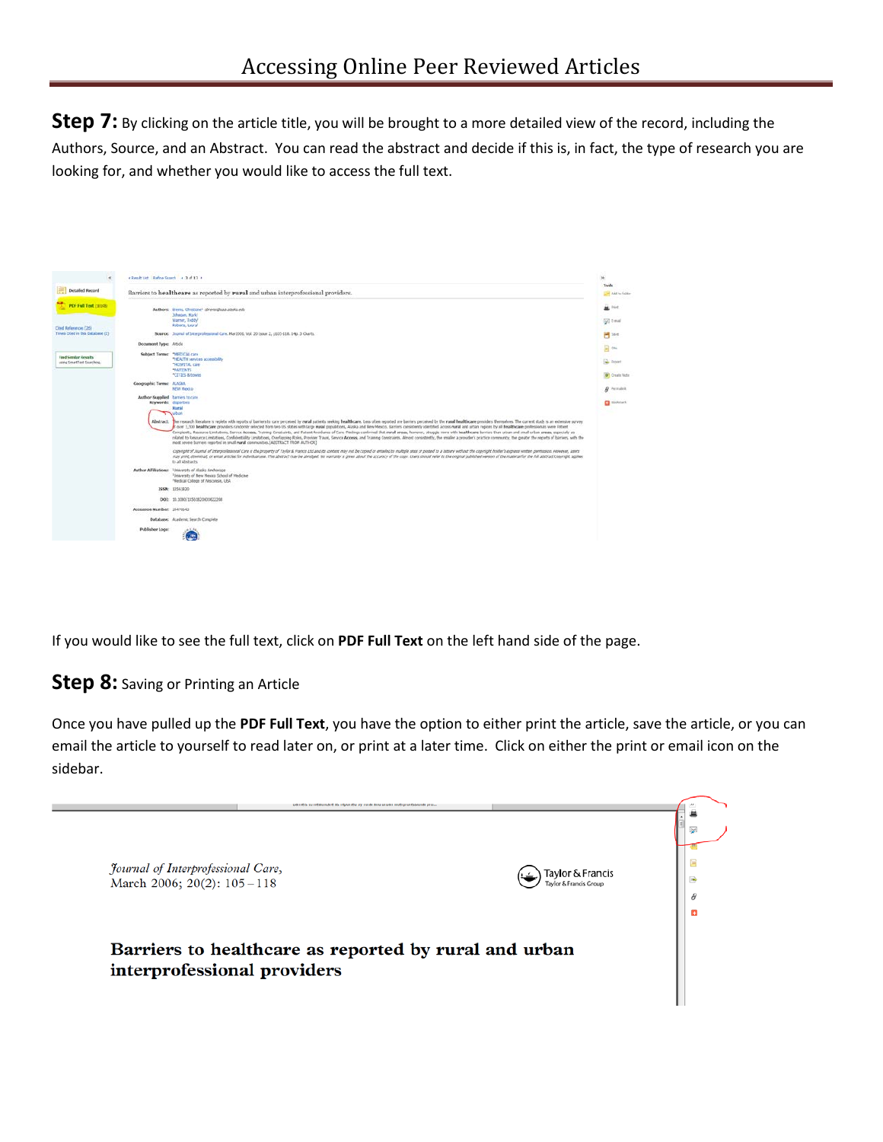**Step 7:** By clicking on the article title, you will be brought to a more detailed view of the record, including the Authors, Source, and an Abstract. You can read the abstract and decide if this is, in fact, the type of research you are looking for, and whether you would like to access the full text.



If you would like to see the full text, click on **PDF Full Text** on the left hand side of the page.

## **Step 8:** Saving or Printing an Article

Once you have pulled up the **PDF Full Text**, you have the option to either print the article, save the article, or you can email the article to yourself to read later on, or print at a later time. Click on either the print or email icon on the sidebar.